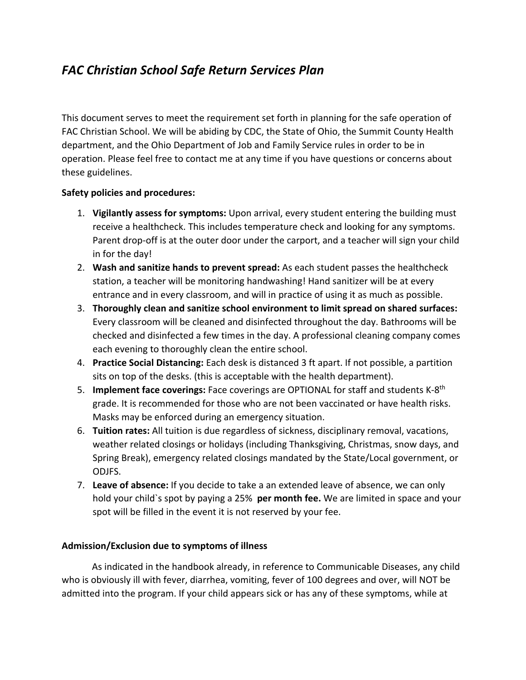# *FAC Christian School Safe Return Services Plan*

This document serves to meet the requirement set forth in planning for the safe operation of FAC Christian School. We will be abiding by CDC, the State of Ohio, the Summit County Health department, and the Ohio Department of Job and Family Service rules in order to be in operation. Please feel free to contact me at any time if you have questions or concerns about these guidelines.

## **Safety policies and procedures:**

- 1. **Vigilantly assess for symptoms:** Upon arrival, every student entering the building must receive a healthcheck. This includes temperature check and looking for any symptoms. Parent drop-off is at the outer door under the carport, and a teacher will sign your child in for the day!
- 2. **Wash and sanitize hands to prevent spread:** As each student passes the healthcheck station, a teacher will be monitoring handwashing! Hand sanitizer will be at every entrance and in every classroom, and will in practice of using it as much as possible.
- 3. **Thoroughly clean and sanitize school environment to limit spread on shared surfaces:** Every classroom will be cleaned and disinfected throughout the day. Bathrooms will be checked and disinfected a few times in the day. A professional cleaning company comes each evening to thoroughly clean the entire school.
- 4. **Practice Social Distancing:** Each desk is distanced 3 ft apart. If not possible, a partition sits on top of the desks. (this is acceptable with the health department).
- 5. **Implement face coverings:** Face coverings are OPTIONAL for staff and students K-8th grade. It is recommended for those who are not been vaccinated or have health risks. Masks may be enforced during an emergency situation.
- 6. **Tuition rates:** All tuition is due regardless of sickness, disciplinary removal, vacations, weather related closings or holidays (including Thanksgiving, Christmas, snow days, and Spring Break), emergency related closings mandated by the State/Local government, or ODJFS.
- 7. **Leave of absence:** If you decide to take a an extended leave of absence, we can only hold your child`s spot by paying a 25% **per month fee.** We are limited in space and your spot will be filled in the event it is not reserved by your fee.

### **Admission/Exclusion due to symptoms of illness**

As indicated in the handbook already, in reference to Communicable Diseases, any child who is obviously ill with fever, diarrhea, vomiting, fever of 100 degrees and over, will NOT be admitted into the program. If your child appears sick or has any of these symptoms, while at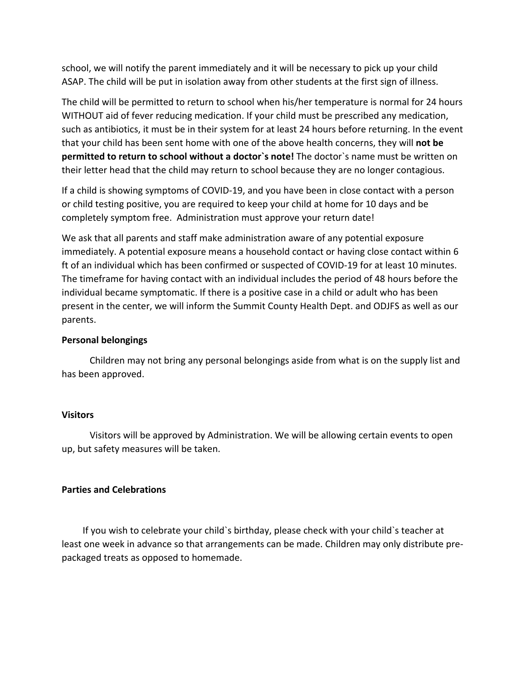school, we will notify the parent immediately and it will be necessary to pick up your child ASAP. The child will be put in isolation away from other students at the first sign of illness.

The child will be permitted to return to school when his/her temperature is normal for 24 hours WITHOUT aid of fever reducing medication. If your child must be prescribed any medication, such as antibiotics, it must be in their system for at least 24 hours before returning. In the event that your child has been sent home with one of the above health concerns, they will **not be permitted to return to school without a doctor`s note!** The doctor`s name must be written on their letter head that the child may return to school because they are no longer contagious.

If a child is showing symptoms of COVID-19, and you have been in close contact with a person or child testing positive, you are required to keep your child at home for 10 days and be completely symptom free. Administration must approve your return date!

We ask that all parents and staff make administration aware of any potential exposure immediately. A potential exposure means a household contact or having close contact within 6 ft of an individual which has been confirmed or suspected of COVID-19 for at least 10 minutes. The timeframe for having contact with an individual includes the period of 48 hours before the individual became symptomatic. If there is a positive case in a child or adult who has been present in the center, we will inform the Summit County Health Dept. and ODJFS as well as our parents.

#### **Personal belongings**

 Children may not bring any personal belongings aside from what is on the supply list and has been approved.

#### **Visitors**

Visitors will be approved by Administration. We will be allowing certain events to open up, but safety measures will be taken.

### **Parties and Celebrations**

If you wish to celebrate your child`s birthday, please check with your child`s teacher at least one week in advance so that arrangements can be made. Children may only distribute prepackaged treats as opposed to homemade.